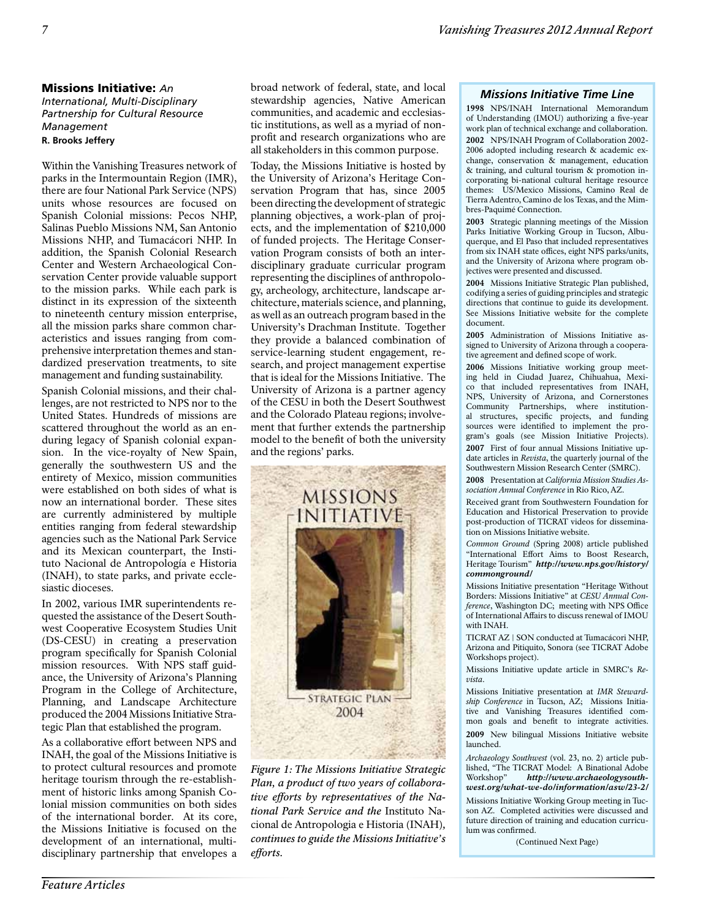# Missions Initiative: *An*

*International, Multi-Disciplinary Partnership for Cultural Resource Management* **R. Brooks Jeffery**

Within the Vanishing Treasures network of parks in the Intermountain Region (IMR), there are four National Park Service (NPS) units whose resources are focused on Spanish Colonial missions: Pecos NHP, Salinas Pueblo Missions NM, San Antonio Missions NHP, and Tumacácori NHP. In addition, the Spanish Colonial Research Center and Western Archaeological Conservation Center provide valuable support to the mission parks. While each park is distinct in its expression of the sixteenth to nineteenth century mission enterprise, all the mission parks share common characteristics and issues ranging from comprehensive interpretation themes and standardized preservation treatments, to site management and funding sustainability.

Spanish Colonial missions, and their challenges, are not restricted to NPS nor to the United States. Hundreds of missions are scattered throughout the world as an enduring legacy of Spanish colonial expansion. In the vice-royalty of New Spain, generally the southwestern US and the entirety of Mexico, mission communities were established on both sides of what is now an international border. These sites are currently administered by multiple entities ranging from federal stewardship agencies such as the National Park Service and its Mexican counterpart, the Instituto Nacional de Antropología e Historia (INAH), to state parks, and private ecclesiastic dioceses.

In 2002, various IMR superintendents requested the assistance of the Desert Southwest Cooperative Ecosystem Studies Unit (DS-CESU) in creating a preservation program specifically for Spanish Colonial mission resources. With NPS staff guidance, the University of Arizona's Planning Program in the College of Architecture, Planning, and Landscape Architecture produced the 2004 Missions Initiative Strategic Plan that established the program.

As a collaborative effort between NPS and INAH, the goal of the Missions Initiative is to protect cultural resources and promote heritage tourism through the re-establishment of historic links among Spanish Colonial mission communities on both sides of the international border. At its core, the Missions Initiative is focused on the development of an international, multidisciplinary partnership that envelopes a broad network of federal, state, and local stewardship agencies, Native American communities, and academic and ecclesiastic institutions, as well as a myriad of nonprofit and research organizations who are all stakeholders in this common purpose.

Today, the Missions Initiative is hosted by the University of Arizona's Heritage Conservation Program that has, since 2005 been directing the development of strategic planning objectives, a work-plan of projects, and the implementation of \$210,000 of funded projects. The Heritage Conservation Program consists of both an interdisciplinary graduate curricular program representing the disciplines of anthropology, archeology, architecture, landscape architecture, materials science, and planning, as well as an outreach program based in the University's Drachman Institute. Together they provide a balanced combination of service-learning student engagement, research, and project management expertise that is ideal for the Missions Initiative. The University of Arizona is a partner agency of the CESU in both the Desert Southwest and the Colorado Plateau regions; involvement that further extends the partnership model to the benefit of both the university and the regions' parks.



*Figure 1: The Missions Initiative Strategic Plan, a product of two years of collaborative efforts by representatives of the National Park Service and the* Instituto Nacional de Antropologia e Historia (INAH)*, continues to guide the Missions Initiative's efforts.*

# *Missions Initiative Time Line*

1998 NPS/INAH International Memorandum of Understanding (IMOU) authorizing a five-year work plan of technical exchange and collaboration. 2002 NPS/INAH Program of Collaboration 2002- 2006 adopted including research & academic exchange, conservation & management, education & training, and cultural tourism & promotion incorporating bi-national cultural heritage resource themes: US/Mexico Missions, Camino Real de Tierra Adentro, Camino de los Texas, and the Mimbres-Paquimé Connection.

2003 Strategic planning meetings of the Mission Parks Initiative Working Group in Tucson, Albuquerque, and El Paso that included representatives from six INAH state offices, eight NPS parks/units, and the University of Arizona where program objectives were presented and discussed.

2004 Missions Initiative Strategic Plan published, codifying a series of guiding principles and strategic directions that continue to guide its development. See Missions Initiative website for the complete document.

2005 Administration of Missions Initiative assigned to University of Arizona through a cooperative agreement and defined scope of work.

2006 Missions Initiative working group meeting held in Ciudad Juarez, Chihuahua, Mexico that included representatives from INAH, NPS, University of Arizona, and Cornerstones Community Partnerships, where institutional structures, specific projects, and funding sources were identified to implement the program's goals (see Mission Initiative Projects). 2007 First of four annual Missions Initiative update articles in *Revista*, the quarterly journal of the Southwestern Mission Research Center (SMRC).

2008 Presentation at *California Mission Studies Association Annual Conference* in Rio Rico, AZ.

Received grant from Southwestern Foundation for Education and Historical Preservation to provide post-production of TICRAT videos for dissemination on Missions Initiative website.

*Common Ground* (Spring 2008) article published "International Effort Aims to Boost Research, Heritage Tourism" *http://www.nps.gov/history/ commonground/*

Missions Initiative presentation "Heritage Without Borders: Missions Initiative" at *CESU Annual Conference*, Washington DC; meeting with NPS Office of International Affairs to discuss renewal of IMOU with INAH.

TICRAT AZ | SON conducted at Tumacácori NHP, Arizona and Pitiquito, Sonora (see TICRAT Adobe Workshops project).

Missions Initiative update article in SMRC's *Revista*.

Missions Initiative presentation at *IMR Stewardship Conference* in Tucson, AZ; Missions Initiative and Vanishing Treasures identified common goals and benefit to integrate activities.

2009 New bilingual Missions Initiative website launched.

*Archaeology Southwest* (vol. 23, no. 2) article published, "The TICRAT Model: A Binational Adobe Workshop" *http://www.archaeologysouthwest.org/what-we-do/information/asw/23-2/*

Missions Initiative Working Group meeting in Tucson AZ. Completed activities were discussed and future direction of training and education curriculum was confirmed.

(Continued Next Page)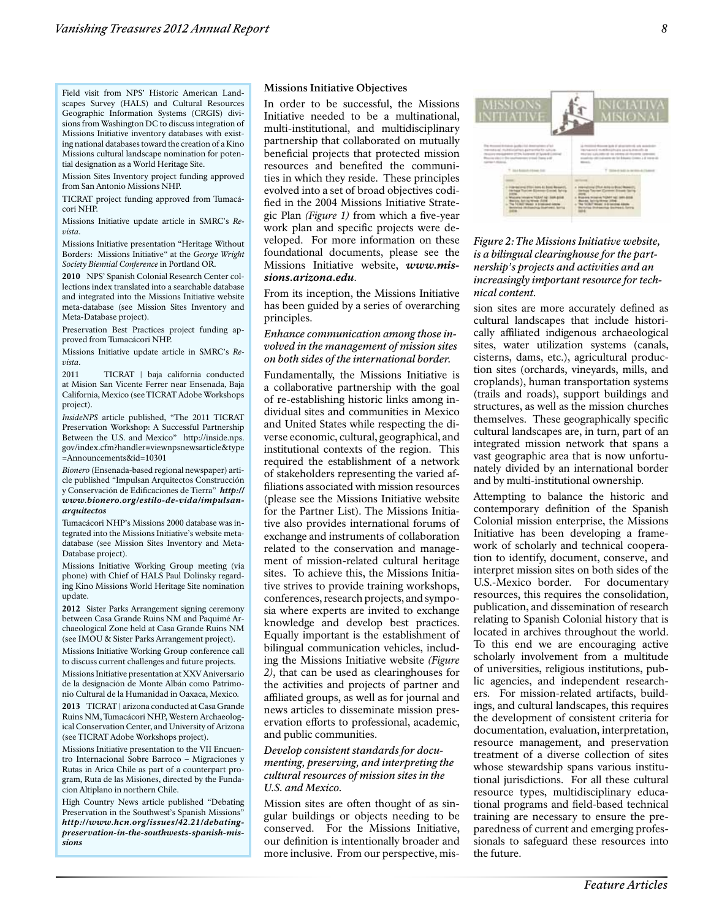Field visit from NPS' Historic American Landscapes Survey (HALS) and Cultural Resources Geographic Information Systems (CRGIS) divisions from Washington DC to discuss integration of Missions Initiative inventory databases with existing national databases toward the creation of a Kino Missions cultural landscape nomination for potential designation as a World Heritage Site.

Mission Sites Inventory project funding approved from San Antonio Missions NHP.

TICRAT project funding approved from Tumacácori NHP.

Missions Initiative update article in SMRC's *Revista*.

Missions Initiative presentation "Heritage Without Borders: Missions Initiative" at the *George Wright Society Biennial Conference* in Portland OR.

2010 NPS' Spanish Colonial Research Center collections index translated into a searchable database and integrated into the Missions Initiative website meta-database (see Mission Sites Inventory and Meta-Database project).

Preservation Best Practices project funding approved from Tumacácori NHP.

Missions Initiative update article in SMRC's *Revista*.

2011 TICRAT | baja california conducted at Mision San Vicente Ferrer near Ensenada, Baja California, Mexico (see TICRAT Adobe Workshops project).

*InsideNPS* article published, "The 2011 TICRAT Preservation Workshop: A Successful Partnership Between the U.S. and Mexico" http://inside.nps. gov/index.cfm?handler=viewnpsnewsarticle&type =Announcements&id=10301

*Bionero* (Ensenada-based regional newspaper) article published "Impulsan Arquitectos Construcción y Conservación de Edificaciones de Tierra" *http:// www.bionero.org/estilo-de-vida/impulsanarquitectos*

Tumacácori NHP's Missions 2000 database was integrated into the Missions Initiative's website metadatabase (see Mission Sites Inventory and Meta-Database project).

Missions Initiative Working Group meeting (via phone) with Chief of HALS Paul Dolinsky regarding Kino Missions World Heritage Site nomination update.

2012 Sister Parks Arrangement signing ceremony between Casa Grande Ruins NM and Paquimé Archaeological Zone held at Casa Grande Ruins NM (see IMOU & Sister Parks Arrangement project).

Missions Initiative Working Group conference call to discuss current challenges and future projects.

Missions Initiative presentation at XXV Aniversario de la designación de Monte Albán como Patrimonio Cultural de la Humanidad in Oaxaca, Mexico.

2013 TICRAT | arizona conducted at Casa Grande Ruins NM, Tumacácori NHP, Western Archaeological Conservation Center, and University of Arizona (see TICRAT Adobe Workshops project).

Missions Initiative presentation to the VII Encuentro Internacional Sobre Barroco – Migraciones y Rutas in Arica Chile as part of a counterpart program, Ruta de las Misiones, directed by the Fundacion Altiplano in northern Chile.

High Country News article published "Debating Preservation in the Southwest's Spanish Missions" *http://www.hcn.org/issues/42.21/debatingpreservation-in-the-southwests-spanish-missions*

#### **Missions Initiative Objectives**

In order to be successful, the Missions Initiative needed to be a multinational, multi-institutional, and multidisciplinary partnership that collaborated on mutually beneficial projects that protected mission resources and benefited the communities in which they reside. These principles evolved into a set of broad objectives codified in the 2004 Missions Initiative Strategic Plan *(Figure 1)* from which a five-year work plan and specific projects were developed. For more information on these foundational documents, please see the Missions Initiative website, *www.missions.arizona.edu*.

From its inception, the Missions Initiative has been guided by a series of overarching principles.

#### *Enhance communication among those involved in the management of mission sites on both sides of the international border.*

Fundamentally, the Missions Initiative is a collaborative partnership with the goal of re-establishing historic links among individual sites and communities in Mexico and United States while respecting the diverse economic, cultural, geographical, and institutional contexts of the region. This required the establishment of a network of stakeholders representing the varied affiliations associated with mission resources (please see the Missions Initiative website for the Partner List). The Missions Initiative also provides international forums of exchange and instruments of collaboration related to the conservation and management of mission-related cultural heritage sites. To achieve this, the Missions Initiative strives to provide training workshops, conferences, research projects, and symposia where experts are invited to exchange knowledge and develop best practices. Equally important is the establishment of bilingual communication vehicles, including the Missions Initiative website *(Figure 2)*, that can be used as clearinghouses for the activities and projects of partner and affiliated groups, as well as for journal and news articles to disseminate mission preservation efforts to professional, academic, and public communities.

#### *Develop consistent standards for documenting, preserving, and interpreting the cultural resources of mission sites in the U.S. and Mexico.*

Mission sites are often thought of as singular buildings or objects needing to be conserved. For the Missions Initiative, our definition is intentionally broader and more inclusive. From our perspective, mis-



*Figure 2: The Missions Initiative website, is a bilingual clearinghouse for the partnership's projects and activities and an increasingly important resource for technical content.*

sion sites are more accurately defined as cultural landscapes that include historically affiliated indigenous archaeological sites, water utilization systems (canals, cisterns, dams, etc.), agricultural production sites (orchards, vineyards, mills, and croplands), human transportation systems (trails and roads), support buildings and structures, as well as the mission churches themselves. These geographically specific cultural landscapes are, in turn, part of an integrated mission network that spans a vast geographic area that is now unfortunately divided by an international border and by multi-institutional ownership.

Attempting to balance the historic and contemporary definition of the Spanish Colonial mission enterprise, the Missions Initiative has been developing a framework of scholarly and technical cooperation to identify, document, conserve, and interpret mission sites on both sides of the U.S.-Mexico border. For documentary resources, this requires the consolidation, publication, and dissemination of research relating to Spanish Colonial history that is located in archives throughout the world. To this end we are encouraging active scholarly involvement from a multitude of universities, religious institutions, public agencies, and independent researchers. For mission-related artifacts, buildings, and cultural landscapes, this requires the development of consistent criteria for documentation, evaluation, interpretation, resource management, and preservation treatment of a diverse collection of sites whose stewardship spans various institutional jurisdictions. For all these cultural resource types, multidisciplinary educational programs and field-based technical training are necessary to ensure the preparedness of current and emerging professionals to safeguard these resources into the future.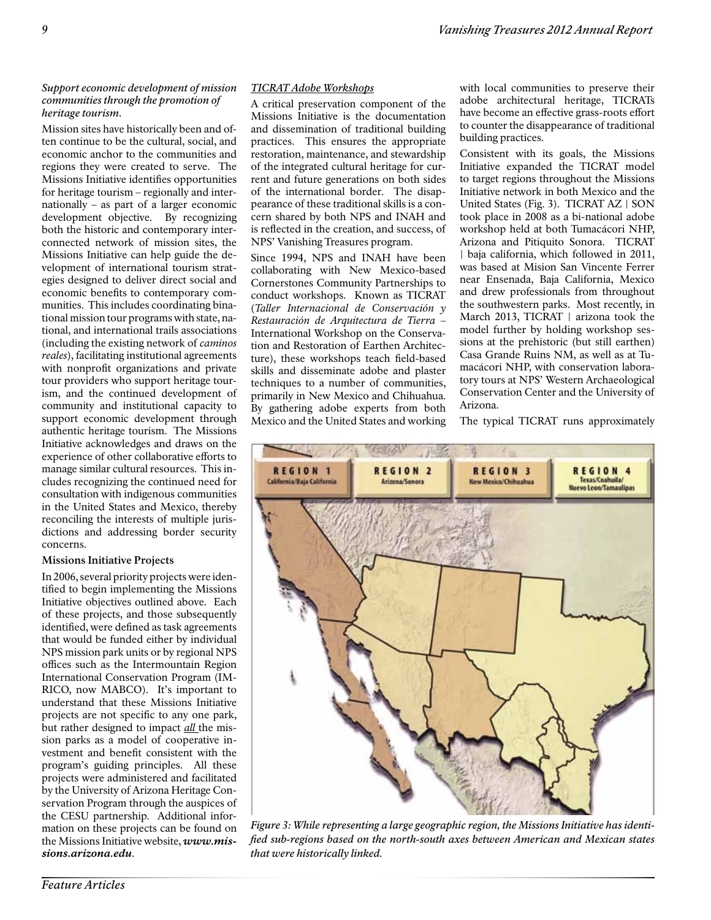# *Support economic development of mission communities through the promotion of heritage tourism.*

Mission sites have historically been and often continue to be the cultural, social, and economic anchor to the communities and regions they were created to serve. The Missions Initiative identifies opportunities for heritage tourism – regionally and internationally – as part of a larger economic development objective. By recognizing both the historic and contemporary interconnected network of mission sites, the Missions Initiative can help guide the development of international tourism strategies designed to deliver direct social and economic benefits to contemporary communities. This includes coordinating binational mission tour programs with state, national, and international trails associations (including the existing network of *caminos reales*), facilitating institutional agreements with nonprofit organizations and private tour providers who support heritage tourism, and the continued development of community and institutional capacity to support economic development through authentic heritage tourism. The Missions Initiative acknowledges and draws on the experience of other collaborative efforts to manage similar cultural resources. This includes recognizing the continued need for consultation with indigenous communities in the United States and Mexico, thereby reconciling the interests of multiple jurisdictions and addressing border security concerns.

# **Missions Initiative Projects**

In 2006, several priority projects were identified to begin implementing the Missions Initiative objectives outlined above. Each of these projects, and those subsequently identified, were defined as task agreements that would be funded either by individual NPS mission park units or by regional NPS offices such as the Intermountain Region International Conservation Program (IM-RICO, now MABCO). It's important to understand that these Missions Initiative projects are not specific to any one park, but rather designed to impact *all* the mission parks as a model of cooperative investment and benefit consistent with the program's guiding principles. All these projects were administered and facilitated by the University of Arizona Heritage Conservation Program through the auspices of the CESU partnership. Additional information on these projects can be found on the Missions Initiative website, *www.missions.arizona.edu*.

# *TICRAT Adobe Workshops*

A critical preservation component of the Missions Initiative is the documentation and dissemination of traditional building practices. This ensures the appropriate restoration, maintenance, and stewardship of the integrated cultural heritage for current and future generations on both sides of the international border. The disappearance of these traditional skills is a concern shared by both NPS and INAH and is reflected in the creation, and success, of NPS' Vanishing Treasures program.

Since 1994, NPS and INAH have been collaborating with New Mexico-based Cornerstones Community Partnerships to conduct workshops. Known as TICRAT (*Taller Internacional de Conservación y Restauración de Arquitectura de Tierra* – International Workshop on the Conservation and Restoration of Earthen Architecture), these workshops teach field-based skills and disseminate adobe and plaster techniques to a number of communities, primarily in New Mexico and Chihuahua. By gathering adobe experts from both Mexico and the United States and working with local communities to preserve their adobe architectural heritage, TICRATs have become an effective grass-roots effort to counter the disappearance of traditional building practices.

Consistent with its goals, the Missions Initiative expanded the TICRAT model to target regions throughout the Missions Initiative network in both Mexico and the United States (Fig. 3). TICRAT AZ | SON took place in 2008 as a bi-national adobe workshop held at both Tumacácori NHP, Arizona and Pitiquito Sonora. TICRAT | baja california, which followed in 2011, was based at Mision San Vincente Ferrer near Ensenada, Baja California, Mexico and drew professionals from throughout the southwestern parks. Most recently, in March 2013, TICRAT | arizona took the model further by holding workshop sessions at the prehistoric (but still earthen) Casa Grande Ruins NM, as well as at Tumacácori NHP, with conservation laboratory tours at NPS' Western Archaeological Conservation Center and the University of Arizona.

The typical TICRAT runs approximately



*Figure 3: While representing a large geographic region, the Missions Initiative has identified sub-regions based on the north-south axes between American and Mexican states that were historically linked.*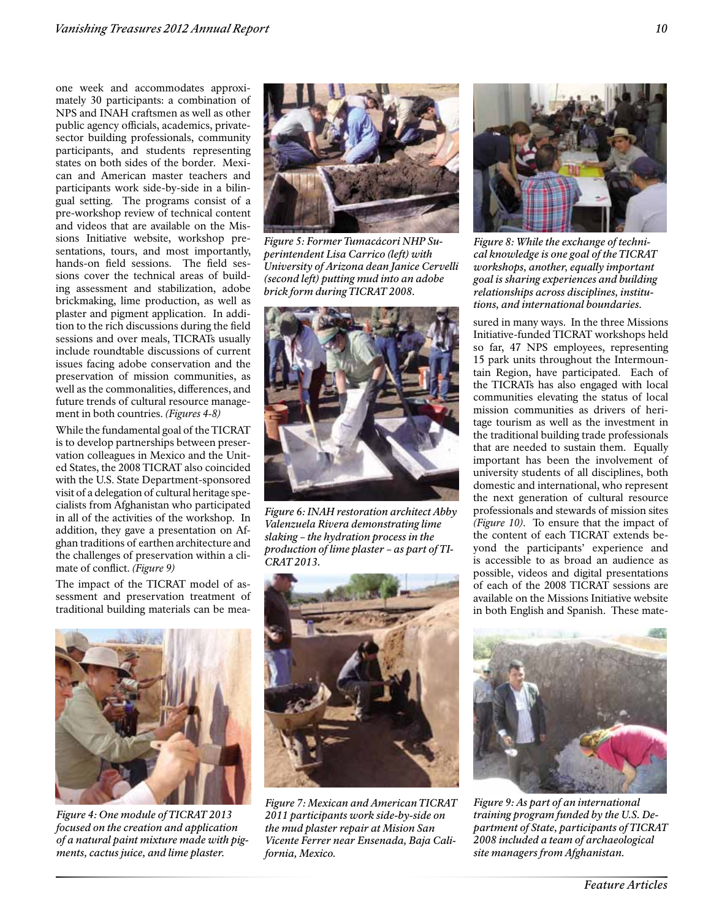one week and accommodates approximately 30 participants: a combination of NPS and INAH craftsmen as well as other public agency officials, academics, privatesector building professionals, community participants, and students representing states on both sides of the border. Mexican and American master teachers and participants work side-by-side in a bilingual setting. The programs consist of a pre-workshop review of technical content and videos that are available on the Missions Initiative website, workshop presentations, tours, and most importantly, hands-on field sessions. The field sessions cover the technical areas of building assessment and stabilization, adobe brickmaking, lime production, as well as plaster and pigment application. In addition to the rich discussions during the field sessions and over meals, TICRATs usually include roundtable discussions of current issues facing adobe conservation and the preservation of mission communities, as well as the commonalities, differences, and future trends of cultural resource management in both countries. *(Figures 4-8)*

While the fundamental goal of the TICRAT is to develop partnerships between preservation colleagues in Mexico and the United States, the 2008 TICRAT also coincided with the U.S. State Department-sponsored visit of a delegation of cultural heritage specialists from Afghanistan who participated in all of the activities of the workshop. In addition, they gave a presentation on Afghan traditions of earthen architecture and the challenges of preservation within a climate of conflict. *(Figure 9)*

The impact of the TICRAT model of assessment and preservation treatment of traditional building materials can be mea-



*Figure 4: One module of TICRAT 2013 focused on the creation and application of a natural paint mixture made with pigments, cactus juice, and lime plaster.*



*Figure 5: Former Tumacácori NHP Superintendent Lisa Carrico (left) with University of Arizona dean Janice Cervelli (second left) putting mud into an adobe brick form during TICRAT 2008.*



*Figure 6: INAH restoration architect Abby Valenzuela Rivera demonstrating lime slaking – the hydration process in the production of lime plaster – as part of TI-CRAT 2013.*



*Figure 7: Mexican and American TICRAT 2011 participants work side-by-side on the mud plaster repair at Mision San Vicente Ferrer near Ensenada, Baja California, Mexico.*



*Figure 8: While the exchange of technical knowledge is one goal of the TICRAT workshops, another, equally important goal is sharing experiences and building relationships across disciplines, institutions, and international boundaries.*

sured in many ways. In the three Missions Initiative-funded TICRAT workshops held so far, 47 NPS employees, representing 15 park units throughout the Intermountain Region, have participated. Each of the TICRATs has also engaged with local communities elevating the status of local mission communities as drivers of heritage tourism as well as the investment in the traditional building trade professionals that are needed to sustain them. Equally important has been the involvement of university students of all disciplines, both domestic and international, who represent the next generation of cultural resource professionals and stewards of mission sites *(Figure 10)*. To ensure that the impact of the content of each TICRAT extends beyond the participants' experience and is accessible to as broad an audience as possible, videos and digital presentations of each of the 2008 TICRAT sessions are available on the Missions Initiative website in both English and Spanish. These mate-



*Figure 9: As part of an international training program funded by the U.S. Department of State, participants of TICRAT 2008 included a team of archaeological site managers from Afghanistan.*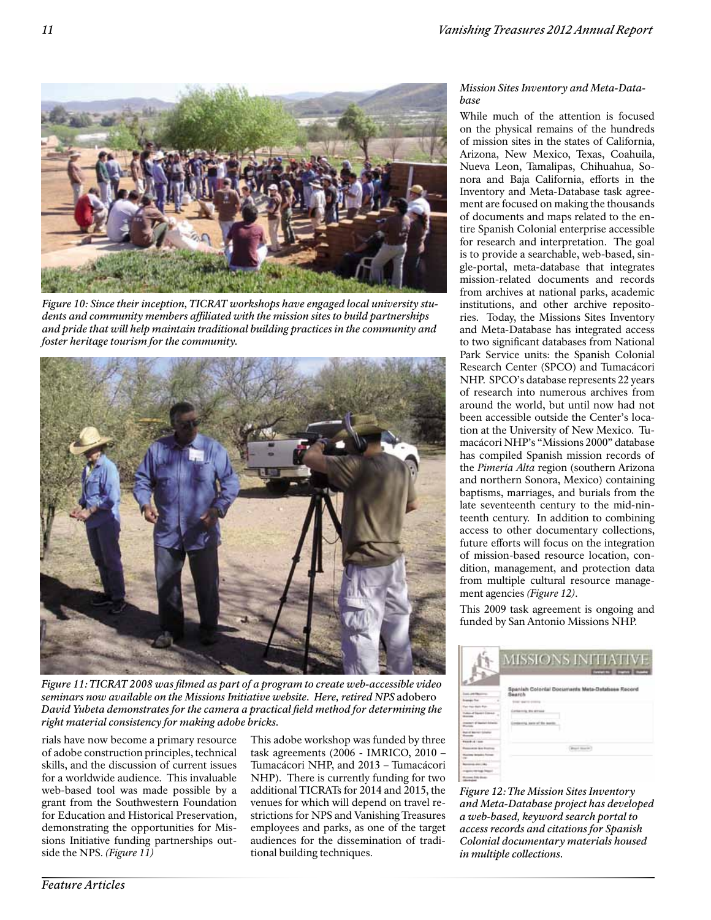

*Figure 10: Since their inception, TICRAT workshops have engaged local university students and community members affiliated with the mission sites to build partnerships and pride that will help maintain traditional building practices in the community and foster heritage tourism for the community.*



*Figure 11: TICRAT 2008 was filmed as part of a program to create web-accessible video seminars now available on the Missions Initiative website. Here, retired NPS* adobero *David Yubeta demonstrates for the camera a practical field method for determining the right material consistency for making adobe bricks.*

rials have now become a primary resource of adobe construction principles, technical skills, and the discussion of current issues for a worldwide audience. This invaluable web-based tool was made possible by a grant from the Southwestern Foundation for Education and Historical Preservation, demonstrating the opportunities for Missions Initiative funding partnerships outside the NPS. *(Figure 11)*

This adobe workshop was funded by three task agreements (2006 - IMRICO, 2010 – Tumacácori NHP, and 2013 – Tumacácori NHP). There is currently funding for two additional TICRATs for 2014 and 2015, the venues for which will depend on travel restrictions for NPS and Vanishing Treasures employees and parks, as one of the target audiences for the dissemination of traditional building techniques.

# *Mission Sites Inventory and Meta-Database*

While much of the attention is focused on the physical remains of the hundreds of mission sites in the states of California, Arizona, New Mexico, Texas, Coahuila, Nueva Leon, Tamalipas, Chihuahua, Sonora and Baja California, efforts in the Inventory and Meta-Database task agreement are focused on making the thousands of documents and maps related to the entire Spanish Colonial enterprise accessible for research and interpretation. The goal is to provide a searchable, web-based, single-portal, meta-database that integrates mission-related documents and records from archives at national parks, academic institutions, and other archive repositories. Today, the Missions Sites Inventory and Meta-Database has integrated access to two significant databases from National Park Service units: the Spanish Colonial Research Center (SPCO) and Tumacácori NHP. SPCO's database represents 22 years of research into numerous archives from around the world, but until now had not been accessible outside the Center's location at the University of New Mexico. Tumacácori NHP's "Missions 2000" database has compiled Spanish mission records of the *Pimería Alta* region (southern Arizona and northern Sonora, Mexico) containing baptisms, marriages, and burials from the late seventeenth century to the mid-ninteenth century. In addition to combining access to other documentary collections, future efforts will focus on the integration of mission-based resource location, condition, management, and protection data from multiple cultural resource management agencies *(Figure 12)*.

This 2009 task agreement is ongoing and funded by San Antonio Missions NHP.

|  | MISSIONS INITIATIVE<br><b>Department County County</b>           |
|--|------------------------------------------------------------------|
|  | Spanish Colonial Documents Meta-Database Record<br><b>Bearch</b> |
|  |                                                                  |
|  |                                                                  |
|  |                                                                  |
|  |                                                                  |
|  |                                                                  |
|  |                                                                  |
|  | <b>Brand Houston</b>                                             |
|  |                                                                  |
|  |                                                                  |
|  |                                                                  |
|  |                                                                  |

*Figure 12: The Mission Sites Inventory and Meta-Database project has developed a web-based, keyword search portal to access records and citations for Spanish Colonial documentary materials housed in multiple collections.*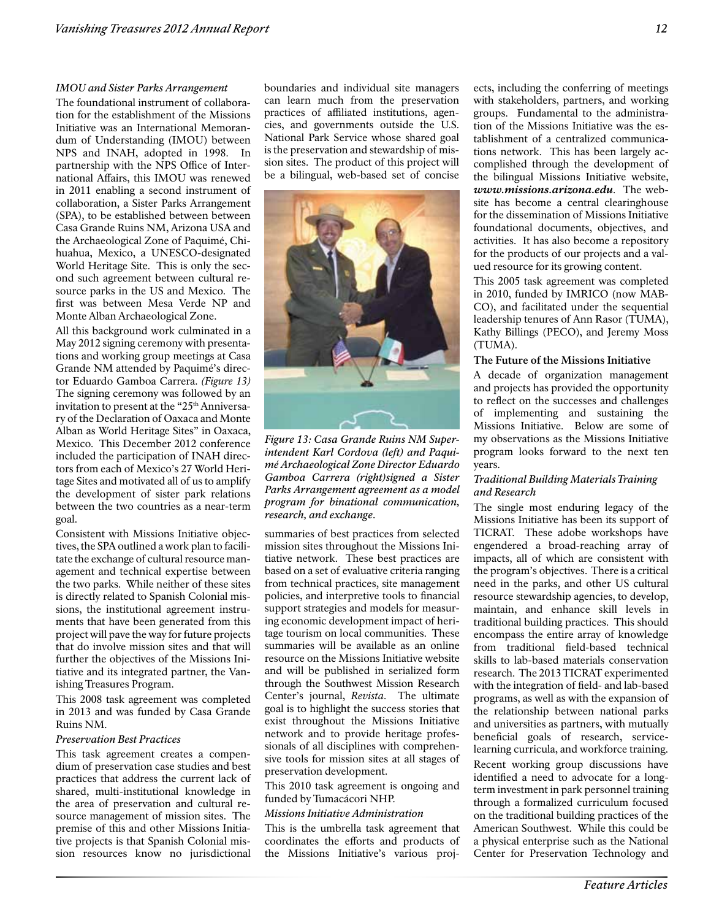#### *IMOU and Sister Parks Arrangement*

The foundational instrument of collaboration for the establishment of the Missions Initiative was an International Memorandum of Understanding (IMOU) between NPS and INAH, adopted in 1998. In partnership with the NPS Office of International Affairs, this IMOU was renewed in 2011 enabling a second instrument of collaboration, a Sister Parks Arrangement (SPA), to be established between between Casa Grande Ruins NM, Arizona USA and the Archaeological Zone of Paquimé, Chihuahua, Mexico, a UNESCO-designated World Heritage Site. This is only the second such agreement between cultural resource parks in the US and Mexico. The first was between Mesa Verde NP and Monte Alban Archaeological Zone.

All this background work culminated in a May 2012 signing ceremony with presentations and working group meetings at Casa Grande NM attended by Paquimé's director Eduardo Gamboa Carrera. *(Figure 13)*  The signing ceremony was followed by an invitation to present at the "25<sup>th</sup> Anniversary of the Declaration of Oaxaca and Monte Alban as World Heritage Sites" in Oaxaca, Mexico. This December 2012 conference included the participation of INAH directors from each of Mexico's 27 World Heritage Sites and motivated all of us to amplify the development of sister park relations between the two countries as a near-term goal.

Consistent with Missions Initiative objectives, the SPA outlined a work plan to facilitate the exchange of cultural resource management and technical expertise between the two parks. While neither of these sites is directly related to Spanish Colonial missions, the institutional agreement instruments that have been generated from this project will pave the way for future projects that do involve mission sites and that will further the objectives of the Missions Initiative and its integrated partner, the Vanishing Treasures Program.

This 2008 task agreement was completed in 2013 and was funded by Casa Grande Ruins NM.

#### *Preservation Best Practices*

This task agreement creates a compendium of preservation case studies and best practices that address the current lack of shared, multi-institutional knowledge in the area of preservation and cultural resource management of mission sites. The premise of this and other Missions Initiative projects is that Spanish Colonial mission resources know no jurisdictional

boundaries and individual site managers can learn much from the preservation practices of affiliated institutions, agencies, and governments outside the U.S. National Park Service whose shared goal is the preservation and stewardship of mission sites. The product of this project will be a bilingual, web-based set of concise



*Figure 13: Casa Grande Ruins NM Superintendent Karl Cordova (left) and Paquimé Archaeological Zone Director Eduardo Gamboa Carrera (right)signed a Sister Parks Arrangement agreement as a model program for binational communication, research, and exchange.*

summaries of best practices from selected mission sites throughout the Missions Initiative network. These best practices are based on a set of evaluative criteria ranging from technical practices, site management policies, and interpretive tools to financial support strategies and models for measuring economic development impact of heritage tourism on local communities. These summaries will be available as an online resource on the Missions Initiative website and will be published in serialized form through the Southwest Mission Research Center's journal, *Revista*. The ultimate goal is to highlight the success stories that exist throughout the Missions Initiative network and to provide heritage professionals of all disciplines with comprehensive tools for mission sites at all stages of preservation development.

This 2010 task agreement is ongoing and funded by Tumacácori NHP.

#### *Missions Initiative Administration*

This is the umbrella task agreement that coordinates the efforts and products of the Missions Initiative's various proj-

ects, including the conferring of meetings with stakeholders, partners, and working groups. Fundamental to the administration of the Missions Initiative was the establishment of a centralized communications network. This has been largely accomplished through the development of the bilingual Missions Initiative website, *www.missions.arizona.edu*. The website has become a central clearinghouse for the dissemination of Missions Initiative foundational documents, objectives, and activities. It has also become a repository for the products of our projects and a valued resource for its growing content.

This 2005 task agreement was completed in 2010, funded by IMRICO (now MAB-CO), and facilitated under the sequential leadership tenures of Ann Rasor (TUMA), Kathy Billings (PECO), and Jeremy Moss (TUMA).

#### **The Future of the Missions Initiative**

A decade of organization management and projects has provided the opportunity to reflect on the successes and challenges of implementing and sustaining the Missions Initiative. Below are some of my observations as the Missions Initiative program looks forward to the next ten years.

### *Traditional Building Materials Training and Research*

The single most enduring legacy of the Missions Initiative has been its support of TICRAT. These adobe workshops have engendered a broad-reaching array of impacts, all of which are consistent with the program's objectives. There is a critical need in the parks, and other US cultural resource stewardship agencies, to develop, maintain, and enhance skill levels in traditional building practices. This should encompass the entire array of knowledge from traditional field-based technical skills to lab-based materials conservation research. The 2013 TICRAT experimented with the integration of field- and lab-based programs, as well as with the expansion of the relationship between national parks and universities as partners, with mutually beneficial goals of research, servicelearning curricula, and workforce training. Recent working group discussions have identified a need to advocate for a longterm investment in park personnel training through a formalized curriculum focused on the traditional building practices of the American Southwest. While this could be a physical enterprise such as the National Center for Preservation Technology and